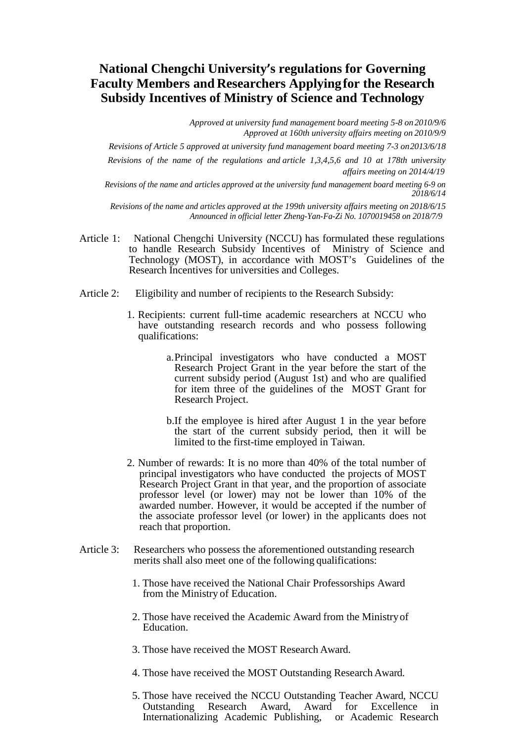## **National Chengchi University's regulations for Governing Faculty Members and Researchers Applyingfor the Research Subsidy Incentives of Ministry of Science and Technology**

*Approved at university fund management board meeting 5-8 on 2010/9/6 Approved at 160th university affairs meeting on 2010/9/9*

*Revisions of Article 5 approved at university fund management board meeting 7-3 on2013/6/18 Revisions of the name of the regulations and article 1,3,4,5,6 and 10 at 178th university affairs meeting on 2014/4/19*

*Revisions of the name and articles approved at the university fund management board meeting 6-9 on 2018/6/14*

*Revisions of the name and articles approved at the 199th university affairs meeting on 2018/6/15 Announced in official letter Zheng-Yan-Fa-Zi No. 1070019458 on 2018/7/9*

- Article 1: National Chengchi University (NCCU) has formulated these regulations to handle Research Subsidy Incentives of Ministry of Science and Technology (MOST), in accordance with MOST's Guidelines of the Research Incentives for universities and Colleges.
- Article 2: Eligibility and number of recipients to the Research Subsidy:
	- 1. Recipients: current full-time academic researchers at NCCU who have outstanding research records and who possess following qualifications:
		- a.Principal investigators who have conducted a MOST Research Project Grant in the year before the start of the current subsidy period (August 1st) and who are qualified for item three of the guidelines of the MOST Grant for Research Project.
		- b.If the employee is hired after August 1 in the year before the start of the current subsidy period, then it will be limited to the first-time employed in Taiwan.
	- 2. Number of rewards: It is no more than 40% of the total number of principal investigators who have conducted the projects of MOST Research Project Grant in that year, and the proportion of associate professor level (or lower) may not be lower than 10% of the awarded number. However, it would be accepted if the number of the associate professor level (or lower) in the applicants does not reach that proportion.
- Article 3: Researchers who possess the aforementioned outstanding research merits shall also meet one of the following qualifications:
	- 1. Those have received the National Chair Professorships Award from the Ministry of Education.
	- 2. Those have received the Academic Award from the Ministryof Education.
	- 3. Those have received the MOST Research Award.
	- 4. Those have received the MOST Outstanding Research Award.
	- 5. Those have received the NCCU Outstanding Teacher Award, NCCU Outstanding Research Award, Award for Excellence in Internationalizing Academic Publishing, or Academic Research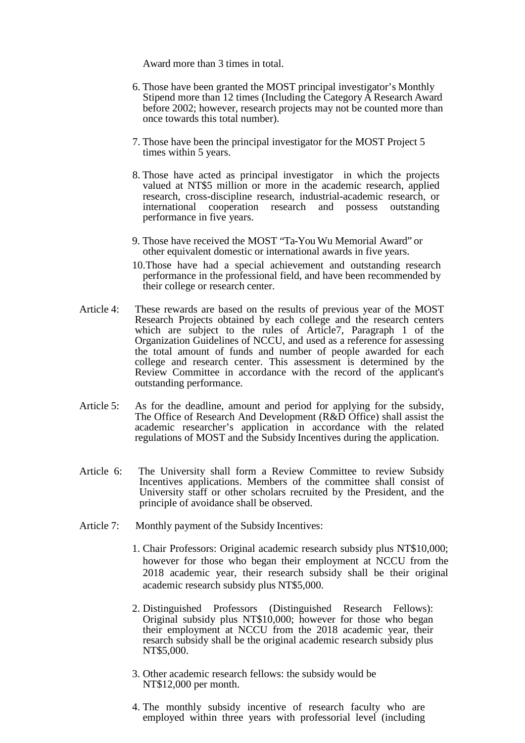Award more than 3 times in total.

- 6. Those have been granted the MOST principal investigator's Monthly Stipend more than 12 times (Including the Category A Research Award before 2002; however, research projects may not be counted more than once towards this total number).
- 7. Those have been the principal investigator for the MOST Project 5 times within 5 years.
- 8. Those have acted as principal investigator in which the projects valued at NT\$5 million or more in the academic research, applied research, cross-discipline research, industrial-academic research, or international cooperation research and possess outstanding performance in five years.
- 9. Those have received the MOST "Ta-You Wu Memorial Award" or other equivalent domestic or international awards in five years.
- 10.Those have had a special achievement and outstanding research performance in the professional field, and have been recommended by their college or research center.
- Article 4: These rewards are based on the results of previous year of the MOST Research Projects obtained by each college and the research centers which are subject to the rules of Article7, Paragraph 1 of the Organization Guidelines of NCCU, and used as a reference for assessing the total amount of funds and number of people awarded for each college and research center. This assessment is determined by the Review Committee in accordance with the record of the applicant's outstanding performance.
- Article 5: As for the deadline, amount and period for applying for the subsidy,<br>The Office of Research And Development (R&D Office) shall assist the academic researcher's application in accordance with the related regulations of MOST and the Subsidy Incentives during the application.
- Article 6: The University shall form a Review Committee to review Subsidy Incentives applications. Members of the committee shall consist of University staff or other scholars recruited by the President, and the principle of avoidance shall be observed.
- Article 7: Monthly payment of the Subsidy Incentives:
	- 1. Chair Professors: Original academic research subsidy plus NT\$10,000; however for those who began their employment at NCCU from the 2018 academic year, their research subsidy shall be their original academic research subsidy plus NT\$5,000.
	- 2. Distinguished Professors (Distinguished Research Fellows): Original subsidy plus NT\$10,000; however for those who began their employment at NCCU from the 2018 academic year, their resarch subsidy shall be the original academic research subsidy plus NT\$5,000.
	- 3. Other academic research fellows: the subsidy would be NT\$12,000 per month.
	- 4. The monthly subsidy incentive of research faculty who are employed within three years with professorial level (including